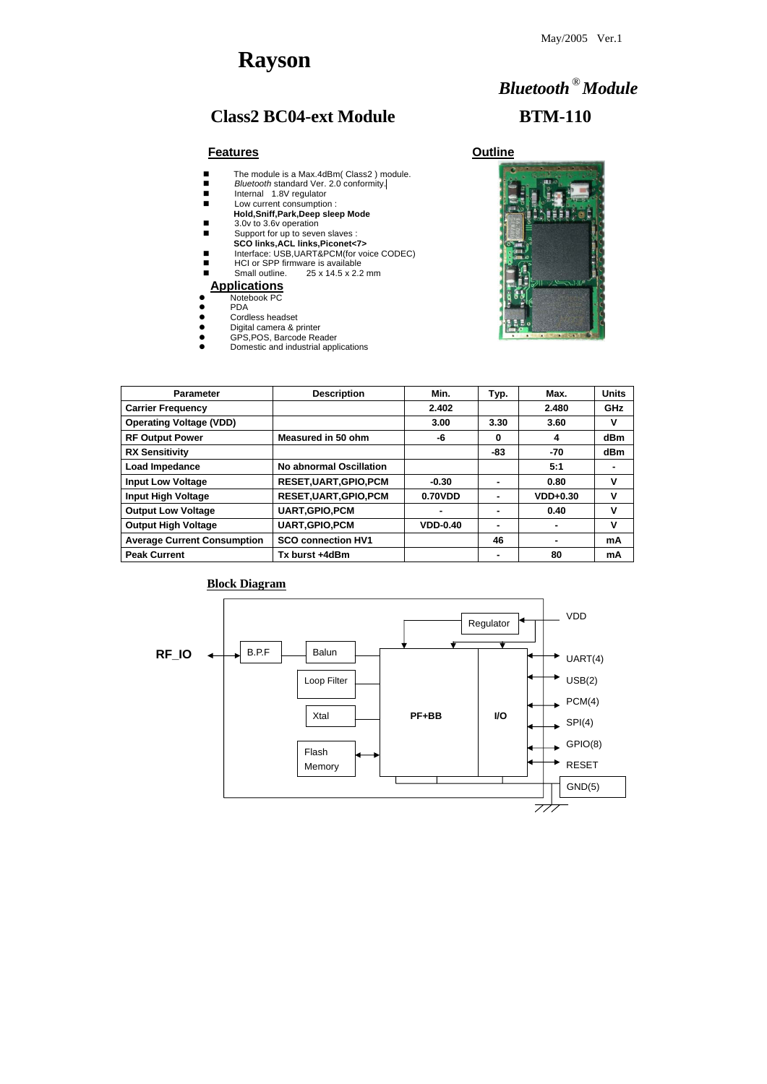# **Rayson**

# Class2 BC04-ext Module BTM-110

# *Bluetooth* **®***Module*



### **Features Outline**

- The module is a Max.4dBm( Class2 ) module.
- **B** *Bluetooth* standard Ver. 2.0 conformity.
- **Internal 1.8V regulator**
- Low current consumption : **Hold,Sniff,Park,Deep sleep Mode**
- 3.0v to 3.6v operation
- Support for up to seven slaves :
- **SCO links,ACL links,Piconet<7>**
- Interface: USB,UART&PCM(for voice CODEC)
- HCI or SPP firmware is available<br>■ Small outline. 25 x 14.5 x 2.2
- 25 x 14.5 x 2.2 mm

| <b>Parameter</b>                   | <b>Description</b>             | Min.            | Typ. | Max.       | <b>Units</b> |
|------------------------------------|--------------------------------|-----------------|------|------------|--------------|
| <b>Carrier Frequency</b>           |                                | 2.402           |      | 2.480      | <b>GHz</b>   |
| <b>Operating Voltage (VDD)</b>     |                                | 3.00            | 3.30 | 3.60       | V            |
| <b>RF Output Power</b>             | <b>Measured in 50 ohm</b>      | -6              | 0    | 4          | dBm          |
| <b>RX Sensitivity</b>              |                                |                 | -83  | -70        | dBm          |
| Load Impedance                     | <b>No abnormal Oscillation</b> |                 |      | 5:1        |              |
| <b>Input Low Voltage</b>           | <b>RESET, UART, GPIO, PCM</b>  | $-0.30$         |      | 0.80       | V            |
| <b>Input High Voltage</b>          | <b>RESET, UART, GPIO, PCM</b>  | 0.70VDD         |      | $VDD+0.30$ | V            |
| <b>Output Low Voltage</b>          | <b>UART, GPIO, PCM</b>         |                 |      | 0.40       | V            |
| <b>Output High Voltage</b>         | <b>UART, GPIO, PCM</b>         | <b>VDD-0.40</b> | ۰    | ۰          | $\mathbf v$  |
| <b>Average Current Consumption</b> | <b>SCO connection HV1</b>      |                 | 46   |            | mA           |
| <b>Peak Current</b>                | Tx burst +4dBm                 |                 |      | 80         | mA           |

#### **Block Diagram**

### **Applications**

- Notebook PC
- $\bullet$  PDA
- Cordless headset
- **•** Digital camera & printer
- **•** GPS, POS, Barcode Reader
- Domestic and industrial applications

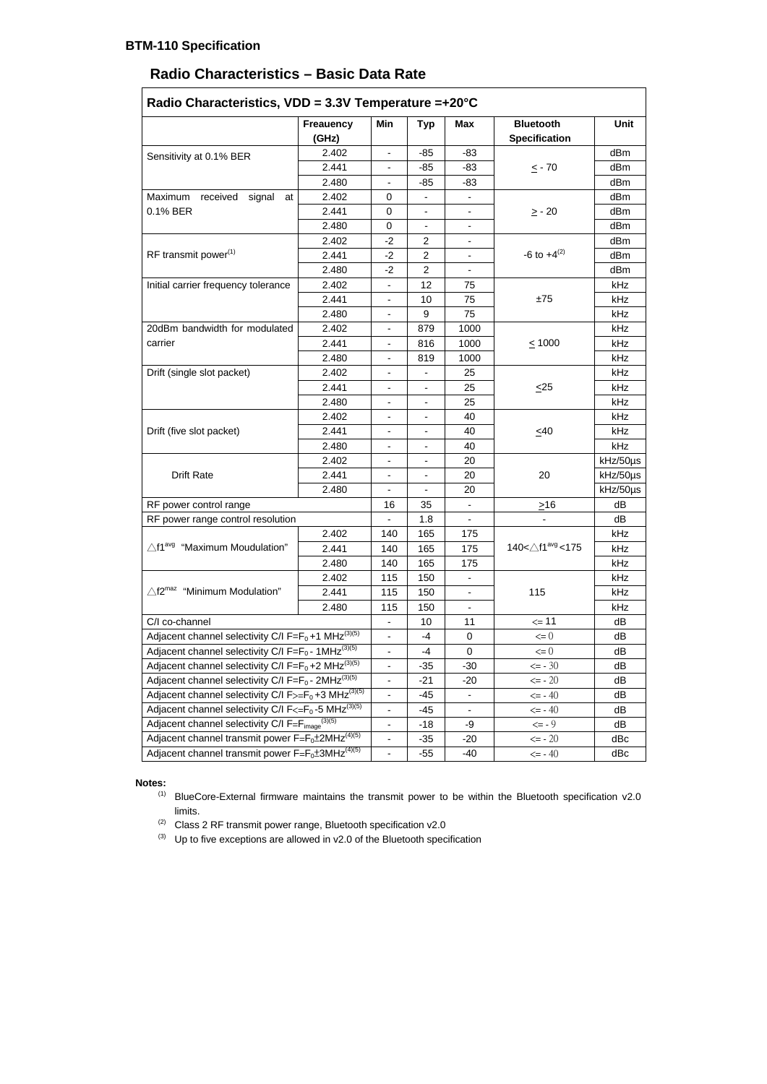# **Radio Characteristics – Basic Data Rate**

|                                                                             | <b>Freauency</b><br>(GHz) | Min                          | <b>Typ</b>               | <b>Max</b>                   | <b>Bluetooth</b><br><b>Specification</b> | Unit     |
|-----------------------------------------------------------------------------|---------------------------|------------------------------|--------------------------|------------------------------|------------------------------------------|----------|
| Sensitivity at 0.1% BER                                                     | 2.402                     | $\overline{\phantom{a}}$     | $-85$                    | $-83$                        |                                          | dBm      |
|                                                                             | 2.441                     |                              | $-85$                    | $-83$                        | $\leq$ - 70                              | dBm      |
|                                                                             | 2.480                     | $\overline{\phantom{a}}$     | $-85$                    | $-83$                        |                                          | dBm      |
| signal<br>Maximum<br>received<br>at                                         | 2.402                     | 0                            |                          |                              |                                          | dBm      |
| 0.1% BER                                                                    | 2.441                     | $\overline{0}$               |                          |                              | $\geq$ - 20                              | dBm      |
|                                                                             | 2.480                     | $\overline{0}$               | $\overline{\phantom{a}}$ |                              |                                          | dBm      |
|                                                                             | 2.402                     | $-2$                         | $\overline{2}$           | $\overline{a}$               |                                          | dBm      |
| RF transmit power <sup>(1)</sup>                                            | 2.441                     | $-2$                         | $\overline{2}$           | -                            | $-6$ to $+4^{(2)}$                       | dBm      |
|                                                                             | 2.480                     | $-2$                         | $\overline{2}$           |                              |                                          | dBm      |
| Initial carrier frequency tolerance                                         | 2.402                     | $\overline{\phantom{a}}$     | 12                       | 75                           |                                          | kHz      |
|                                                                             | 2.441                     | $\overline{\phantom{a}}$     | 10                       | 75                           | ±75                                      | kHz      |
|                                                                             | 2.480                     | $\overline{\phantom{a}}$     | 9                        | 75                           |                                          | kHz      |
| 20dBm bandwidth for modulated                                               | 2.402                     | $\overline{\phantom{a}}$     | 879                      | 1000                         |                                          | kHz      |
| carrier                                                                     | 2.441                     |                              | 816                      | 1000                         | $\leq 1000$                              | kHz      |
|                                                                             | 2.480                     | $\overline{\phantom{a}}$     | 819                      | 1000                         |                                          | kHz      |
| Drift (single slot packet)                                                  | 2.402                     | $\overline{\phantom{a}}$     | $\overline{\phantom{a}}$ | 25                           | $\leq$ 25                                | kHz      |
|                                                                             | 2.441                     | $\overline{\phantom{a}}$     |                          | 25                           |                                          | kHz      |
|                                                                             | 2.480                     |                              |                          | 25                           |                                          | kHz      |
|                                                                             | 2.402                     | $\overline{\phantom{a}}$     | $\blacksquare$           | 40                           | $\leq 40$                                | kHz      |
| Drift (five slot packet)                                                    | 2.441                     | $\blacksquare$               | $\overline{\phantom{a}}$ | 40                           |                                          | kHz      |
|                                                                             | 2.480                     | -                            |                          | 40                           |                                          | kHz      |
|                                                                             | 2.402                     | $\overline{\phantom{0}}$     | $\overline{\phantom{a}}$ | 20                           | 20                                       | kHz/50µs |
| <b>Drift Rate</b>                                                           | 2.441                     | $\overline{\phantom{a}}$     | $\overline{\phantom{a}}$ | 20                           |                                          | kHz/50µs |
|                                                                             | 2.480                     |                              |                          | 20                           |                                          | kHz/50us |
| RF power control range                                                      |                           |                              | 35                       |                              | $\geq 16$                                | dB       |
| RF power range control resolution                                           |                           |                              |                          |                              |                                          | dB       |
|                                                                             | 2.402                     | 140                          | 165                      | 175                          |                                          | kHz      |
| $\triangle$ f1 <sup>avg</sup> "Maximum Moudulation"                         | 2.441                     | 140                          | 165                      | 175                          | 140<△f1 <sup>avg</sup> <175              | kHz      |
|                                                                             | 2.480                     | 140                          | 165                      | 175                          |                                          | kHz      |
|                                                                             | 2.402                     | 115                          | 150                      |                              | 115                                      | kHz      |
| $\wedge$ f2 <sup>maz</sup><br>"Minimum Modulation"                          | 2.441                     | 115                          | 150                      | $\overline{\phantom{a}}$     |                                          | kHz      |
|                                                                             | 2.480                     | 115                          | 150                      |                              |                                          | kHz      |
| C/I co-channel                                                              |                           |                              | 10                       | 11                           | $\leq$ 11                                | dB       |
| Adjacent channel selectivity C/I $F = F_0 + 1$ MHz <sup>(3)(5)</sup>        |                           | $\overline{\phantom{a}}$     | $-4$                     | $\mathbf 0$                  | $\leq 0$                                 | dB       |
| Adjacent channel selectivity C/I F= $F_0$ - 1MHz <sup>(3)(5)</sup>          |                           | $\overline{\phantom{0}}$     | $-4$                     | $\mathbf 0$                  | $\leq 0$                                 | dB       |
| Adjacent channel selectivity C/I $F = F_0 + 2$ MHz <sup>(3)(5)</sup>        |                           | $\qquad \qquad \blacksquare$ | $-35$                    | $-30$                        | $\leq -30$                               | dB       |
| Adjacent channel selectivity C/I F= $F_0$ - 2MHz <sup>(3)(5)</sup>          |                           | $\overline{\phantom{0}}$     | $-21$                    | $-20$                        | $\leq -20$                               | dB       |
| Adjacent channel selectivity C/I $F_{\geq} = F_0 + 3$ MHz <sup>(3)(5)</sup> |                           | $\overline{\phantom{0}}$     | $-45$                    | $\qquad \qquad \blacksquare$ | $\le$ - 40                               | dB       |
| Adjacent channel selectivity C/I $F \leq F_0 - 5$ MHz <sup>(3)(5)</sup>     |                           |                              | -45                      | $\qquad \qquad \blacksquare$ | $\le$ - 40                               | dB       |
| Adjacent channel selectivity C/I F=Fimage <sup>(3)(5)</sup>                 |                           |                              | $-18$                    | -9                           | $\le -9$                                 | dB       |
| Adjacent channel transmit power $F = F_0 \pm 2MHz^{(4)(5)}$                 |                           |                              | $-35$                    | $-20$                        | $\le -20$                                | dBc      |
| Adjacent channel transmit power $F = F_0 \pm 3MHz^{(4)(5)}$                 |                           |                              | $-55$                    | -40                          | $\leq -40$                               | dBc      |

 **Notes:**

- $(1)$  BlueCore-External firmware maintains the transmit power to be within the Bluetooth specification v2.0 limits.
- <sup>(2)</sup> Class 2 RF transmit power range, Bluetooth specification  $v2.0$
- (3) Up to five exceptions are allowed in  $v2.0$  of the Bluetooth specification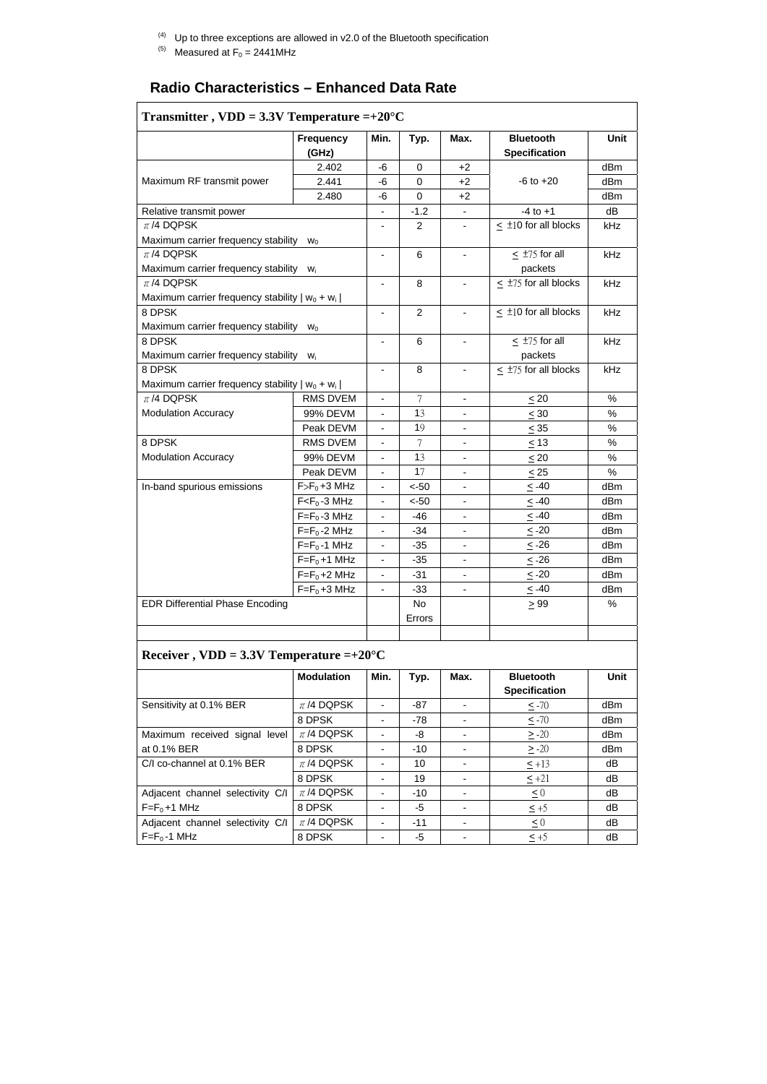- $(4)$  Up to three exceptions are allowed in v2.0 of the Bluetooth specification
- <sup>(5)</sup> Measured at  $F_0 = 2441$  MHz

# **Radio Characteristics – Enhanced Data Rate**

|                                                   | <b>Frequency</b> | Min.                         | Typ.           | Max.                         | <b>Bluetooth</b>          | <b>Unit</b>   |
|---------------------------------------------------|------------------|------------------------------|----------------|------------------------------|---------------------------|---------------|
|                                                   | (GHz)            |                              |                |                              | <b>Specification</b>      |               |
|                                                   | 2.402            | $-6$                         | $\mathbf 0$    | $+2$                         |                           | dBm           |
| Maximum RF transmit power                         | 2.441            | $-6$                         | $\mathbf 0$    | $+2$                         | $-6$ to $+20$             | dBm           |
|                                                   | 2.480            | $-6$                         | $\overline{0}$ | $+2$                         |                           | dBm           |
| Relative transmit power                           |                  | $\overline{\phantom{0}}$     | $-1.2$         | $\blacksquare$               | $-4$ to $+1$              | dB            |
| $\pi$ /4 DQPSK                                    |                  | $\overline{\phantom{a}}$     | $\overline{2}$ | $\overline{\phantom{a}}$     | $\leq$ ±10 for all blocks | kHz           |
| Maximum carrier frequency stability               | $W_0$            |                              |                |                              |                           |               |
| $\pi$ /4 DQPSK                                    |                  | $\qquad \qquad \blacksquare$ | 6              | $\overline{\phantom{a}}$     | $\leq$ ±75 for all        | kHz           |
| Maximum carrier frequency stability               | $W_i$            |                              |                |                              | packets                   |               |
| $\pi$ /4 DQPSK                                    |                  | $\overline{\phantom{0}}$     | 8              | $\blacksquare$               | $\leq$ ±75 for all blocks | kHz           |
| Maximum carrier frequency stability $ w_0 + w_i $ |                  |                              |                |                              |                           |               |
| 8 DPSK                                            |                  |                              | $\overline{2}$ |                              | $\leq$ ±10 for all blocks | kHz           |
| Maximum carrier frequency stability               | $W_0$            |                              |                |                              |                           |               |
| 8 DPSK                                            |                  |                              | 6              | $\overline{\phantom{a}}$     | $<$ $\pm$ 75 for all      | kHz           |
| Maximum carrier frequency stability<br>$W_i$      |                  |                              |                |                              | packets                   |               |
| 8 DPSK                                            |                  |                              | 8              | $\blacksquare$               | $\leq$ ±75 for all blocks | kHz           |
| Maximum carrier frequency stability $ w_0 + w_i $ |                  |                              |                |                              |                           |               |
| $\pi$ /4 DQPSK                                    | <b>RMS DVEM</b>  | $\blacksquare$               | 7              | $\blacksquare$               | $\leq 20$                 | $\frac{0}{0}$ |
| <b>Modulation Accuracy</b>                        | 99% DEVM         | $\overline{\phantom{0}}$     | 13             | $\overline{\phantom{a}}$     | $\leq 30$                 | $\%$          |
|                                                   | Peak DEVM        | $\blacksquare$               | 19             | $\overline{\phantom{a}}$     | $\leq$ 35                 | $\%$          |
| 8 DPSK                                            | <b>RMS DVEM</b>  | $\qquad \qquad \blacksquare$ | 7              | $\overline{\phantom{a}}$     | $\leq 13$                 | %             |
| <b>Modulation Accuracy</b>                        | 99% DEVM         | $\overline{\phantom{0}}$     | 13             | $\blacksquare$               | $\leq 20$                 | $\%$          |
|                                                   | Peak DEVM        | $\blacksquare$               | 17             | $\overline{\phantom{a}}$     | $\leq$ 25                 | $\%$          |
| In-band spurious emissions                        | $F>F_0+3$ MHz    | -                            | $< -50$        | $\overline{\phantom{a}}$     | $\leq -40$                | dBm           |
|                                                   | $F < F0 - 3 MHz$ | $\qquad \qquad \blacksquare$ | $< -50$        | $\qquad \qquad \blacksquare$ | $\leq -40$                | dBm           |
|                                                   | $F=F0 -3 MHz$    | $\qquad \qquad \blacksquare$ | $-46$          | $\overline{\phantom{a}}$     | ≤ -40                     | dBm           |
|                                                   | $F=F0 - 2 MHz$   |                              | $-34$          | $\overline{\phantom{a}}$     | $\leq$ -20                | dBm           |
|                                                   | $F=F_0-1$ MHz    | $\overline{\phantom{0}}$     | $-35$          | $\overline{\phantom{0}}$     | $\leq$ -26                | dBm           |
|                                                   | $F=F_0+1$ MHz    | -                            | $-35$          | $\overline{\phantom{a}}$     | $\leq$ -26                | dBm           |
|                                                   | $F=F0+2$ MHz     | -                            | $-31$          | $\overline{\phantom{a}}$     | $\leq$ -20                | dBm           |
|                                                   | $F=F_0+3$ MHz    | $\overline{\phantom{0}}$     | $-33$          | $\overline{\phantom{a}}$     | $\leq -40$                | dBm           |
| <b>EDR Differential Phase Encoding</b>            |                  |                              | No             |                              | $\geq 99$                 | %             |
|                                                   |                  |                              | Errors         |                              |                           |               |

## **Receiver , VDD = 3.3V Temperature =+20°C**

|                                  | <b>Modulation</b> | Min. | Typ.  | Max.                     | <b>Bluetooth</b><br><b>Specification</b> | <b>Unit</b>     |
|----------------------------------|-------------------|------|-------|--------------------------|------------------------------------------|-----------------|
| Sensitivity at 0.1% BER          | $\pi$ /4 DQPSK    |      | -87   |                          | $\leq$ -70                               | dB <sub>m</sub> |
|                                  | 8 DPSK            |      | $-78$ |                          | $\leq -70$                               | dBm             |
| Maximum received signal level    | $\pi$ /4 DQPSK    | -    | -8    | $\overline{\phantom{a}}$ | $\geq -20$                               | dBm             |
| at 0.1% BER                      | 8 DPSK            | -    | $-10$ |                          | $\geq -20$                               | dB <sub>m</sub> |
| C/I co-channel at 0.1% BER       | $\pi$ /4 DQPSK    |      | 10    |                          | $\leq$ +13                               | dB              |
|                                  | 8 DPSK            |      | 19    |                          | $\leq +21$                               | dB              |
| Adjacent channel selectivity C/I | $\pi$ /4 DQPSK    |      | $-10$ |                          | $\leq 0$                                 | dB              |
| $F=F_0+1$ MHz                    | 8 DPSK            |      | -5    |                          | $\leq +5$                                | dB              |
| Adjacent channel selectivity C/I | $\pi$ /4 DQPSK    |      | $-11$ |                          | $\leq 0$                                 | dB              |
| $F = F_0 - 1$ MHz                | 8 DPSK            |      | -5    |                          | $\leq +5$                                | dB              |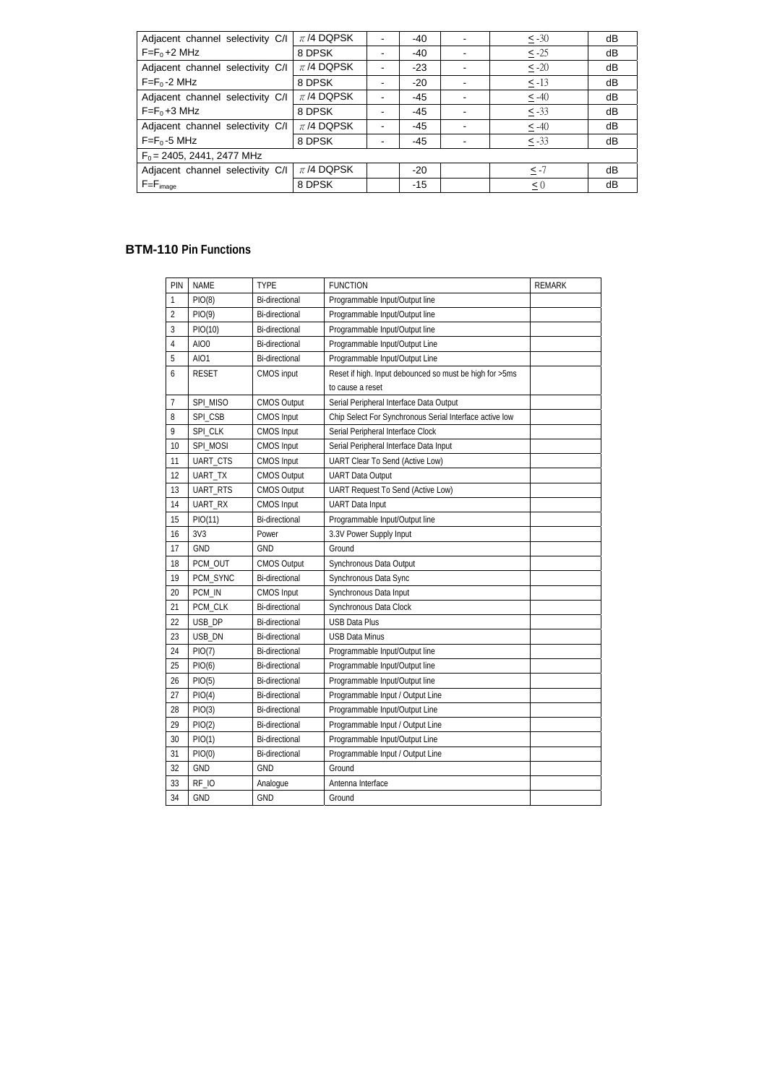| Adjacent channel selectivity C/I | $\pi$ /4 DQPSK |   | -40   |  | $\leq -30$ | dB |  |
|----------------------------------|----------------|---|-------|--|------------|----|--|
| $F=F_0+2$ MHz                    | 8 DPSK         |   | -40   |  | $\leq -25$ | dB |  |
| Adjacent channel selectivity C/I | $\pi$ /4 DQPSK |   | $-23$ |  | $\leq -20$ | dB |  |
| $F=F_0-2$ MHz                    | 8 DPSK         |   | $-20$ |  | $\leq$ -13 | dB |  |
| Adjacent channel selectivity C/I | $\pi$ /4 DQPSK |   | $-45$ |  | $\leq -40$ | dB |  |
| $F=F_0+3$ MHz                    | 8 DPSK         |   | -45   |  | $\leq -33$ | dB |  |
| Adjacent channel selectivity C/I | $\pi$ /4 DQPSK | - | -45   |  | $\leq -40$ | dB |  |
| $F=F_0-5$ MHz                    | 8 DPSK         |   | -45   |  | $\leq -33$ | dB |  |
| $F_0$ = 2405, 2441, 2477 MHz     |                |   |       |  |            |    |  |
| Adjacent channel selectivity C/I | $\pi$ /4 DQPSK |   | $-20$ |  | $\leq -7$  | dB |  |
| $F = F_{image}$                  | 8 DPSK         |   | $-15$ |  | $\leq 0$   | dB |  |

#### **BTM-110 Pin Functions**

| PIN            | <b>NAME</b>  | <b>TYPE</b>           | <b>FUNCTION</b>                                         | <b>REMARK</b> |
|----------------|--------------|-----------------------|---------------------------------------------------------|---------------|
| 1              | PIO(8)       | Bi-directional        | Programmable Input/Output line                          |               |
| $\overline{2}$ | PIO(9)       | Bi-directional        | Programmable Input/Output line                          |               |
| 3              | PIO(10)      | Bi-directional        | Programmable Input/Output line                          |               |
| 4              | AIO0         | Bi-directional        | Programmable Input/Output Line                          |               |
| 5              | AIO1         | Bi-directional        | Programmable Input/Output Line                          |               |
| 6              | <b>RESET</b> | <b>CMOS</b> input     | Reset if high. Input debounced so must be high for >5ms |               |
|                |              |                       | to cause a reset                                        |               |
| 7              | SPI_MISO     | <b>CMOS Output</b>    | Serial Peripheral Interface Data Output                 |               |
| 8              | SPI_CSB      | <b>CMOS Input</b>     | Chip Select For Synchronous Serial Interface active low |               |
| 9              | SPI_CLK      | <b>CMOS Input</b>     | Serial Peripheral Interface Clock                       |               |
| 10             | SPI_MOSI     | <b>CMOS</b> Input     | Serial Peripheral Interface Data Input                  |               |
| 11             | UART_CTS     | <b>CMOS Input</b>     | UART Clear To Send (Active Low)                         |               |
| 12             | UART_TX      | <b>CMOS Output</b>    | <b>UART Data Output</b>                                 |               |
| 13             | UART_RTS     | <b>CMOS Output</b>    | <b>UART Request To Send (Active Low)</b>                |               |
| 14             | UART_RX      | <b>CMOS Input</b>     | <b>UART</b> Data Input                                  |               |
| 15             | PIO(11)      | Bi-directional        | Programmable Input/Output line                          |               |
| 16             | 3V3          | Power                 | 3.3V Power Supply Input                                 |               |
| 17             | <b>GND</b>   | <b>GND</b>            | Ground                                                  |               |
| 18             | PCM_OUT      | <b>CMOS Output</b>    | Synchronous Data Output                                 |               |
| 19             | PCM_SYNC     | <b>Bi-directional</b> | Synchronous Data Sync                                   |               |
| 20             | PCM_IN       | <b>CMOS Input</b>     | Synchronous Data Input                                  |               |
| 21             | PCM_CLK      | Bi-directional        | Synchronous Data Clock                                  |               |
| 22             | USB_DP       | <b>Bi-directional</b> | <b>USB Data Plus</b>                                    |               |
| 23             | USB_DN       | <b>Bi-directional</b> | <b>USB Data Minus</b>                                   |               |
| 24             | PIO(7)       | Bi-directional        | Programmable Input/Output line                          |               |
| 25             | PIO(6)       | <b>Bi-directional</b> | Programmable Input/Output line                          |               |
| 26             | PIO(5)       | <b>Bi-directional</b> | Programmable Input/Output line                          |               |
| 27             | PIO(4)       | Bi-directional        | Programmable Input / Output Line                        |               |
| 28             | PIO(3)       | Bi-directional        | Programmable Input/Output Line                          |               |
| 29             | PIO(2)       | Bi-directional        | Programmable Input / Output Line                        |               |
| 30             | PIO(1)       | <b>Bi-directional</b> | Programmable Input/Output Line                          |               |
| 31             | PIO(0)       | Bi-directional        | Programmable Input / Output Line                        |               |
| 32             | <b>GND</b>   | <b>GND</b>            | Ground                                                  |               |
| 33             | RF_IO        | Analogue              | Antenna Interface                                       |               |
| 34             | <b>GND</b>   | <b>GND</b>            | Ground                                                  |               |